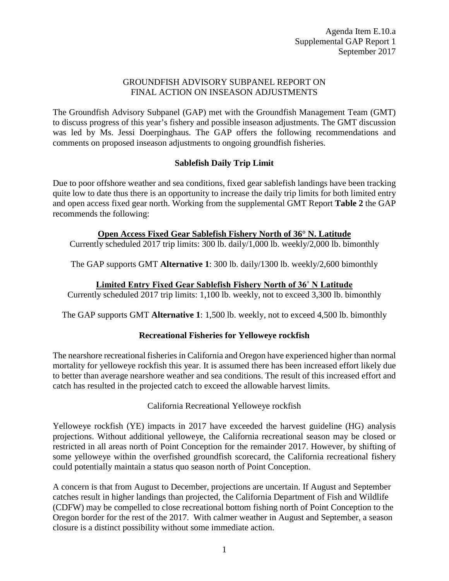# GROUNDFISH ADVISORY SUBPANEL REPORT ON FINAL ACTION ON INSEASON ADJUSTMENTS

The Groundfish Advisory Subpanel (GAP) met with the Groundfish Management Team (GMT) to discuss progress of this year's fishery and possible inseason adjustments. The GMT discussion was led by Ms. Jessi Doerpinghaus. The GAP offers the following recommendations and comments on proposed inseason adjustments to ongoing groundfish fisheries.

# **Sablefish Daily Trip Limit**

Due to poor offshore weather and sea conditions, fixed gear sablefish landings have been tracking quite low to date thus there is an opportunity to increase the daily trip limits for both limited entry and open access fixed gear north. Working from the supplemental GMT Report **Table 2** the GAP recommends the following:

# **Open Access Fixed Gear Sablefish Fishery North of 36° N. Latitude**

Currently scheduled 2017 trip limits: 300 lb. daily/1,000 lb. weekly/2,000 lb. bimonthly

The GAP supports GMT **Alternative 1**: 300 lb. daily/1300 lb. weekly/2,600 bimonthly

### **Limited Entry Fixed Gear Sablefish Fishery North of 36˚ N Latitude**

Currently scheduled 2017 trip limits: 1,100 lb. weekly, not to exceed 3,300 lb. bimonthly

The GAP supports GMT **Alternative 1**: 1,500 lb. weekly, not to exceed 4,500 lb. bimonthly

# **Recreational Fisheries for Yelloweye rockfish**

The nearshore recreational fisheries in California and Oregon have experienced higher than normal mortality for yelloweye rockfish this year. It is assumed there has been increased effort likely due to better than average nearshore weather and sea conditions. The result of this increased effort and catch has resulted in the projected catch to exceed the allowable harvest limits.

California Recreational Yelloweye rockfish

Yelloweye rockfish (YE) impacts in 2017 have exceeded the harvest guideline (HG) analysis projections. Without additional yelloweye, the California recreational season may be closed or restricted in all areas north of Point Conception for the remainder 2017. However, by shifting of some yelloweye within the overfished groundfish scorecard, the California recreational fishery could potentially maintain a status quo season north of Point Conception.

A concern is that from August to December, projections are uncertain. If August and September catches result in higher landings than projected, the California Department of Fish and Wildlife (CDFW) may be compelled to close recreational bottom fishing north of Point Conception to the Oregon border for the rest of the 2017. With calmer weather in August and September, a season closure is a distinct possibility without some immediate action.